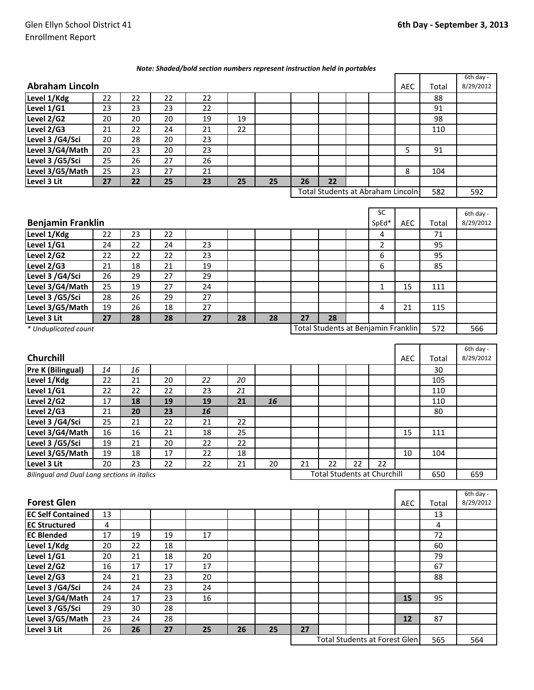| Note: Shaded/bold section numbers represent instruction held in portables |  |
|---------------------------------------------------------------------------|--|
|---------------------------------------------------------------------------|--|

|                                             |                 |                 |                 |                 |    |    |    |                                     |    |              |             |       | 6th day -              |
|---------------------------------------------|-----------------|-----------------|-----------------|-----------------|----|----|----|-------------------------------------|----|--------------|-------------|-------|------------------------|
| <b>Abraham Lincoln</b>                      |                 |                 |                 |                 |    |    |    |                                     |    |              | <b>AEC</b>  | Total | 8/29/2012              |
| Level 1/Kdg                                 | 22              | 22              | 22              | 22              |    |    |    |                                     |    |              |             | 88    |                        |
| Level 1/G1                                  | 23              | 23              | 23              | 22              |    |    |    |                                     |    |              |             | 91    |                        |
| Level 2/G2                                  | 20              | 20              | 20              | 19              | 19 |    |    |                                     |    |              |             | 98    |                        |
| Level 2/G3                                  | 21              | 22              | 24              | 21              | 22 |    |    |                                     |    |              |             | 110   |                        |
| Level 3 /G4/Sci                             | 20              | 28              | 20              | 23              |    |    |    |                                     |    |              |             |       |                        |
| Level 3/G4/Math                             | 20              | 23              | 20              | 23              |    |    |    |                                     |    |              | 5           | 91    |                        |
| Level 3 /G5/Sci                             | 25              | 26              | 27              | 26              |    |    |    |                                     |    |              |             |       |                        |
| Level 3/G5/Math                             | 25              | 23              | 27              | 21              |    |    |    |                                     |    |              | 8           | 104   |                        |
| Level 3 Lit                                 | 27              | 22              | $\overline{25}$ | 23              | 25 | 25 | 26 | $\overline{22}$                     |    |              |             |       |                        |
|                                             |                 |                 |                 |                 |    |    |    | Total Students at Abraham Lincoln   |    |              |             | 582   | 592                    |
|                                             |                 |                 |                 |                 |    |    |    |                                     |    | SC           |             |       | 6th day -              |
| <b>Benjamin Franklin</b>                    |                 |                 |                 |                 |    |    |    |                                     |    | SpEd*        | <b>AEC</b>  | Total | 8/29/2012              |
| Level 1/Kdg                                 | 22              | 23              | 22              |                 |    |    |    |                                     |    | 4            |             | 71    |                        |
| Level 1/G1                                  | 24              | 22              | 24              | 23              |    |    |    |                                     |    | 2            |             | 95    |                        |
| Level 2/G2                                  | 22              | 22              | 22              | 23              |    |    |    |                                     |    | 6            |             | 95    |                        |
| Level 2/G3                                  | 21              | 18              | 21              | 19              |    |    |    |                                     |    | 6            |             | 85    |                        |
| Level 3 /G4/Sci                             | 26              | 29              | 27              | 29              |    |    |    |                                     |    |              |             |       |                        |
| Level 3/G4/Math                             | 25              | 19              | 27              | 24              |    |    |    |                                     |    | $\mathbf{1}$ | 15          | 111   |                        |
| Level 3 /G5/Sci                             | 28              | $\overline{26}$ | 29              | $\overline{27}$ |    |    |    |                                     |    |              |             |       |                        |
| Level 3/G5/Math                             | 19              | 26              | 18              | 27              |    |    |    |                                     |    | 4            | 21          | 115   |                        |
| Level 3 Lit                                 | $\overline{27}$ | 28              | 28              | 27              | 28 | 28 | 27 | $\overline{28}$                     |    |              |             |       |                        |
| * Unduplicated count                        |                 |                 |                 |                 |    |    |    | Total Students at Benjamin Franklin |    |              |             | 572   | 566                    |
|                                             |                 |                 |                 |                 |    |    |    |                                     |    |              |             |       | 6th day -              |
| Churchill                                   |                 |                 |                 |                 |    |    |    |                                     |    |              | <b>AEC</b>  | Total | 8/29/2012              |
| <b>Pre K (Bilingual)</b>                    | 14              | 16              |                 |                 |    |    |    |                                     |    |              |             | 30    |                        |
| Level 1/Kdg                                 | 22              | 21              | 20              | 22              | 20 |    |    |                                     |    |              |             | 105   |                        |
| Level 1/G1                                  | 22              | 22              | 22              | 23              | 21 |    |    |                                     |    |              |             | 110   |                        |
| Level 2/G2                                  | 17              | 18              | 19              | 19              | 21 | 16 |    |                                     |    |              |             | 110   |                        |
| Level 2/G3                                  | 21              | 20              | 23              | 16              |    |    |    |                                     |    |              |             | 80    |                        |
| Level 3 /G4/Sci                             | 25              | 21              | 22              | 21              | 22 |    |    |                                     |    |              |             |       |                        |
| Level 3/G4/Math                             | 16              | 16              | 21              | 18              | 25 |    |    |                                     |    |              | 15          | 111   |                        |
| Level 3 /G5/Sci                             | 19              | 21              | 20              | 22              | 22 |    |    |                                     |    |              |             |       |                        |
| Level 3/G5/Math                             | 19              | 18              | 17              | 22              | 18 |    |    |                                     |    |              | 10          | 104   |                        |
| Level 3 Lit                                 | 20              | 23              | 22              | 22              | 21 | 20 | 21 | 22                                  | 22 | 22           |             |       |                        |
| Bilingual and Dual Lang sections in italics |                 |                 |                 |                 |    |    |    | <b>Total Students at Churchill</b>  |    |              |             | 650   | 659                    |
|                                             |                 |                 |                 |                 |    |    |    |                                     |    |              |             |       |                        |
| <b>Forest Glen</b>                          |                 |                 |                 |                 |    |    |    |                                     |    |              | $\Delta$ FC | Total | 6th day -<br>8/29/2012 |

| <b>Forest Glen</b>       |    |    |    |    |    |    |    |                                      |  | <b>AEC</b> | Total | 8/29/2012 |     |
|--------------------------|----|----|----|----|----|----|----|--------------------------------------|--|------------|-------|-----------|-----|
| <b>EC Self Contained</b> | 13 |    |    |    |    |    |    |                                      |  |            |       | 13        |     |
| <b>EC Structured</b>     | 4  |    |    |    |    |    |    |                                      |  |            |       | 4         |     |
| <b>EC Blended</b>        | 17 | 19 | 19 | 17 |    |    |    |                                      |  |            |       | 72        |     |
| Level 1/Kdg              | 20 | 22 | 18 |    |    |    |    |                                      |  |            |       | 60        |     |
| Level 1/G1               | 20 | 21 | 18 | 20 |    |    |    |                                      |  |            |       | 79        |     |
| Level 2/G2               | 16 | 17 | 17 | 17 |    |    |    |                                      |  |            |       | 67        |     |
| Level 2/G3               | 24 | 21 | 23 | 20 |    |    |    |                                      |  |            |       | 88        |     |
| Level 3 /G4/Sci          | 24 | 24 | 23 | 24 |    |    |    |                                      |  |            |       |           |     |
| Level 3/G4/Math          | 24 | 17 | 23 | 16 |    |    |    |                                      |  |            | 15    | 95        |     |
| Level 3 /G5/Sci          | 29 | 30 | 28 |    |    |    |    |                                      |  |            |       |           |     |
| Level 3/G5/Math          | 23 | 24 | 28 |    |    |    |    |                                      |  |            | 12    | 87        |     |
| Level 3 Lit              | 26 | 26 | 27 | 25 | 26 | 25 | 27 |                                      |  |            |       |           |     |
|                          |    |    |    |    |    |    |    | <b>Total Students at Forest Glen</b> |  |            |       | 565       | 564 |